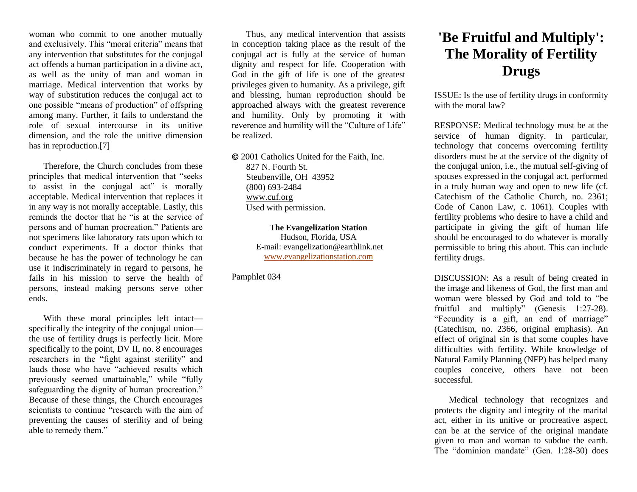woman who commit to one another mutually and exclusively. This "moral criteria" means that any intervention that substitutes for the conjugal act offends a human participation in a divine act, as well as the unity of man and woman in marriage. Medical intervention that works by way of substitution reduces the conjugal act to one possible "means of production" of offspring among many. Further, it fails to understand the role of sexual intercourse in its unitive dimension, and the role the unitive dimension has in reproduction.<sup>[7]</sup>

Therefore, the Church concludes from these principles that medical intervention that "seeks to assist in the conjugal act" is morally acceptable. Medical intervention that replaces it in any way is not morally acceptable. Lastly, this reminds the doctor that he "is at the service of persons and of human procreation." Patients are not specimens like laboratory rats upon which to conduct experiments. If a doctor thinks that because he has the power of technology he can use it indiscriminately in regard to persons, he fails in his mission to serve the health of persons, instead making persons serve other ends.

With these moral principles left intact specifically the integrity of the conjugal union the use of fertility drugs is perfectly licit. More specifically to the point, DV II, no. 8 encourages researchers in the "fight against sterility" and lauds those who have "achieved results which previously seemed unattainable," while "fully safeguarding the dignity of human procreation." Because of these things, the Church encourages scientists to continue "research with the aim of preventing the causes of sterility and of being able to remedy them."

Thus, any medical intervention that assists in conception taking place as the result of the conjugal act is fully at the service of human dignity and respect for life. Cooperation with God in the gift of life is one of the greatest privileges given to humanity. As a privilege, gift and blessing, human reproduction should be approached always with the greatest reverence and humility. Only by promoting it with reverence and humility will the "Culture of Life" be realized.

 2001 Catholics United for the Faith, Inc. 827 N. Fourth St. Steubenville, OH 43952 (800) 693-2484 [www.cuf.org](http://www.cuf.org/) Used with permission.

> **The Evangelization Station** Hudson, Florida, USA E-mail: evangelization@earthlink.net [www.evangelizationstation.com](http://www.pjpiisoe.org/)

Pamphlet 034

## **'Be Fruitful and Multiply': The Morality of Fertility Drugs**

ISSUE: Is the use of fertility drugs in conformity with the moral law?

RESPONSE: Medical technology must be at the service of human dignity. In particular, technology that concerns overcoming fertility disorders must be at the service of the dignity of the conjugal union, i.e., the mutual self-giving of spouses expressed in the conjugal act, performed in a truly human way and open to new life (cf. Catechism of the Catholic Church, no. 2361; Code of Canon Law, c. 1061). Couples with fertility problems who desire to have a child and participate in giving the gift of human life should be encouraged to do whatever is morally permissible to bring this about. This can include fertility drugs.

DISCUSSION: As a result of being created in the image and likeness of God, the first man and woman were blessed by God and told to "be fruitful and multiply" (Genesis 1:27-28). "Fecundity is a gift, an end of marriage" (Catechism, no. 2366, original emphasis). An effect of original sin is that some couples have difficulties with fertility. While knowledge of Natural Family Planning (NFP) has helped many couples conceive, others have not been successful.

Medical technology that recognizes and protects the dignity and integrity of the marital act, either in its unitive or procreative aspect, can be at the service of the original mandate given to man and woman to subdue the earth. The "dominion mandate" (Gen. 1:28-30) does